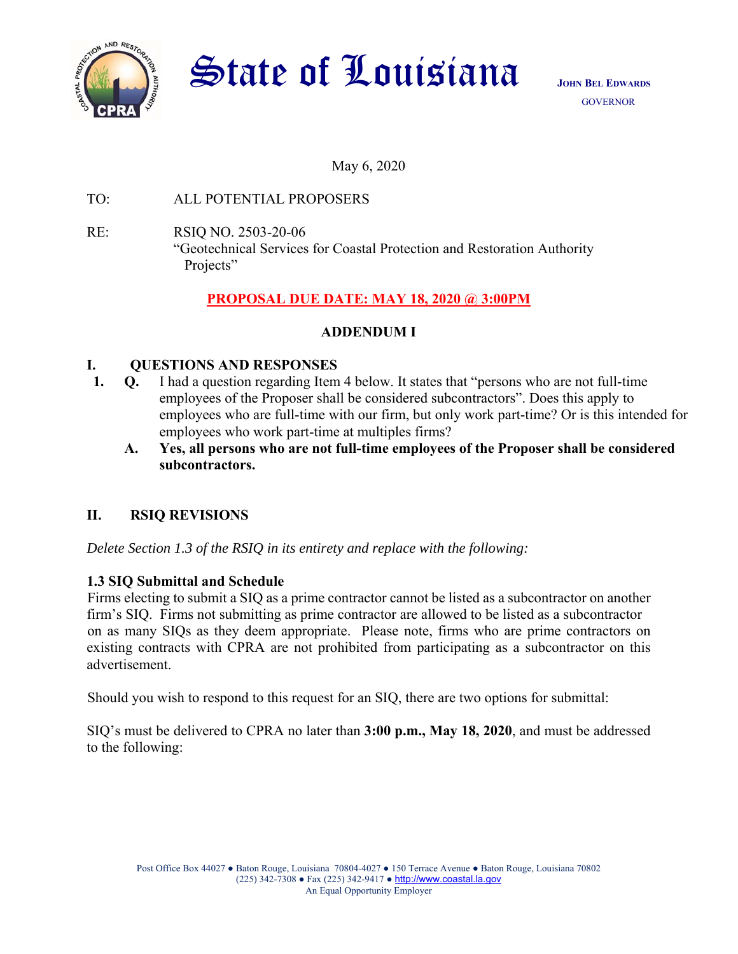

**State of Louisiana** JOHN BEL EDWARDS

May 6, 2020

TO: ALL POTENTIAL PROPOSERS

RE: RSIQ NO. 2503-20-06 "Geotechnical Services for Coastal Protection and Restoration Authority Projects"

# **PROPOSAL DUE DATE: MAY 18, 2020 @ 3:00PM**

# **ADDENDUM I**

#### **I. QUESTIONS AND RESPONSES**

- **1. Q.** I had a question regarding Item 4 below. It states that "persons who are not full-time employees of the Proposer shall be considered subcontractors". Does this apply to employees who are full-time with our firm, but only work part-time? Or is this intended for employees who work part-time at multiples firms?
	- **A. Yes, all persons who are not full-time employees of the Proposer shall be considered subcontractors.**

## **II. RSIQ REVISIONS**

*Delete Section 1.3 of the RSIQ in its entirety and replace with the following:* 

## **1.3 SIQ Submittal and Schedule**

Firms electing to submit a SIQ as a prime contractor cannot be listed as a subcontractor on another firm's SIQ. Firms not submitting as prime contractor are allowed to be listed as a subcontractor on as many SIQs as they deem appropriate. Please note, firms who are prime contractors on existing contracts with CPRA are not prohibited from participating as a subcontractor on this advertisement.

Should you wish to respond to this request for an SIQ, there are two options for submittal:

SIQ's must be delivered to CPRA no later than **3:00 p.m., May 18, 2020**, and must be addressed to the following: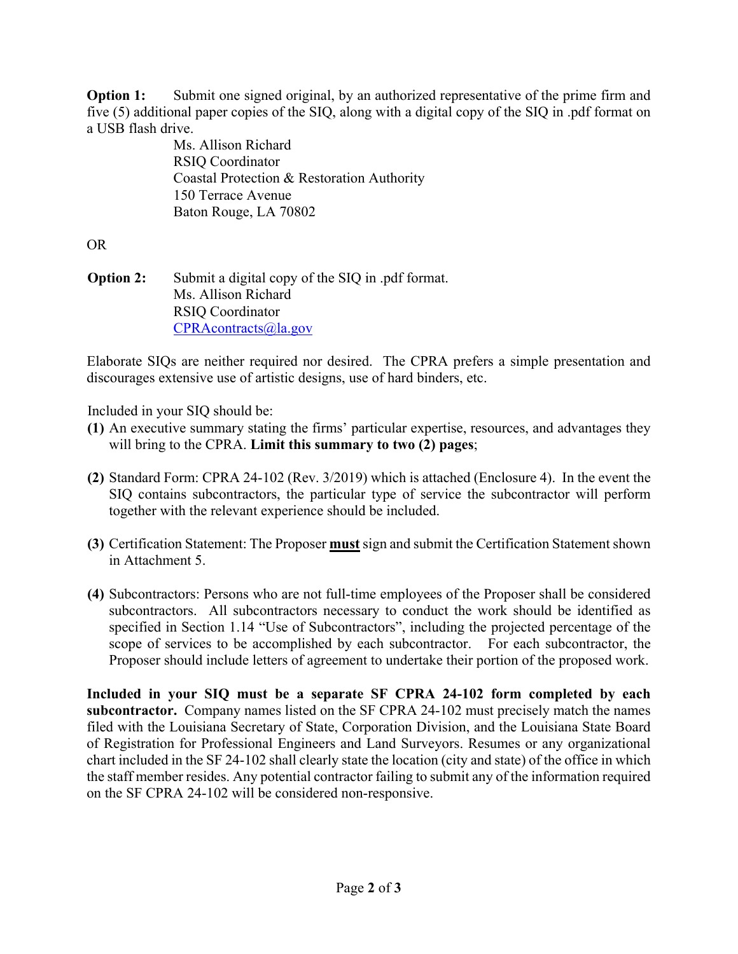**Option 1:** Submit one signed original, by an authorized representative of the prime firm and five (5) additional paper copies of the SIQ, along with a digital copy of the SIQ in .pdf format on a USB flash drive.

Ms. Allison Richard RSIQ Coordinator Coastal Protection & Restoration Authority 150 Terrace Avenue Baton Rouge, LA 70802

OR

**Option 2:** Submit a digital copy of the SIQ in .pdf format. Ms. Allison Richard RSIQ Coordinator CPRAcontracts@la.gov

Elaborate SIQs are neither required nor desired. The CPRA prefers a simple presentation and discourages extensive use of artistic designs, use of hard binders, etc.

Included in your SIQ should be:

- **(1)** An executive summary stating the firms' particular expertise, resources, and advantages they will bring to the CPRA. **Limit this summary to two (2) pages**;
- **(2)** Standard Form: CPRA 24-102 (Rev. 3/2019) which is attached (Enclosure 4). In the event the SIQ contains subcontractors, the particular type of service the subcontractor will perform together with the relevant experience should be included.
- **(3)** Certification Statement: The Proposer **must** sign and submit the Certification Statement shown in Attachment 5.
- **(4)** Subcontractors: Persons who are not full-time employees of the Proposer shall be considered subcontractors. All subcontractors necessary to conduct the work should be identified as specified in Section 1.14 "Use of Subcontractors", including the projected percentage of the scope of services to be accomplished by each subcontractor. For each subcontractor, the Proposer should include letters of agreement to undertake their portion of the proposed work.

**Included in your SIQ must be a separate SF CPRA 24-102 form completed by each subcontractor.** Company names listed on the SF CPRA 24-102 must precisely match the names filed with the Louisiana Secretary of State, Corporation Division, and the Louisiana State Board of Registration for Professional Engineers and Land Surveyors. Resumes or any organizational chart included in the SF 24-102 shall clearly state the location (city and state) of the office in which the staff member resides. Any potential contractor failing to submit any of the information required on the SF CPRA 24-102 will be considered non-responsive.